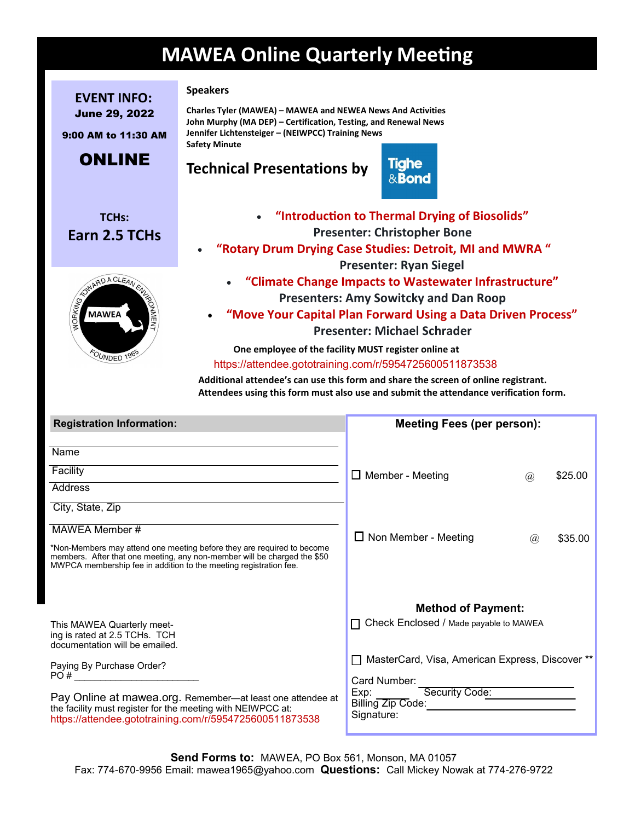# **MAWEA Online Quarterly Meeting**

**EVENT INFO:** June 29, 2022 **Speakers**

9:00 AM to 11:30 AM

# ONLINE

**TCHs: Earn 2.5 TCHs** 



#### **Charles Tyler (MAWEA) – MAWEA and NEWEA News And Activities John Murphy (MA DEP) – Certification, Testing, and Renewal News Jennifer Lichtensteiger – (NEIWPCC) Training News Safety Minute**

## **Technical Presentations by**



- **"Introduction to Thermal Drying of Biosolids" Presenter: Christopher Bone**
- **"Rotary Drum Drying Case Studies: Detroit, MI and MWRA " Presenter: Ryan Siegel**
	- **"Climate Change Impacts to Wastewater Infrastructure" Presenters: Amy Sowitcky and Dan Roop**
	- **"Move Your Capital Plan Forward Using a Data Driven Process" Presenter: Michael Schrader**

 **One employee of the facility MUST register online at**

<https://attendee.gototraining.com/r/5954725600511873538>

 **Additional attendee's can use this form and share the screen of online registrant. Attendees using this form must also use and submit the attendance verification form.**

| <b>Registration Information:</b>                                                                                                                                                                                              | <b>Meeting Fees (per person):</b>                               |
|-------------------------------------------------------------------------------------------------------------------------------------------------------------------------------------------------------------------------------|-----------------------------------------------------------------|
| Name                                                                                                                                                                                                                          |                                                                 |
| Facility                                                                                                                                                                                                                      | $\Box$ Member - Meeting<br>\$25.00<br>$\omega$                  |
| Address                                                                                                                                                                                                                       |                                                                 |
| City, State, Zip                                                                                                                                                                                                              |                                                                 |
| MAWEA Member #                                                                                                                                                                                                                | $\Box$ Non Member - Meeting                                     |
| *Non-Members may attend one meeting before they are required to become<br>members. After that one meeting, any non-member will be charged the \$50<br>MWPCA membership fee in addition to the meeting registration fee.       | \$35.00<br>(a)                                                  |
|                                                                                                                                                                                                                               | <b>Method of Payment:</b>                                       |
| This MAWEA Quarterly meet-<br>ing is rated at 2.5 TCHs. TCH<br>documentation will be emailed.                                                                                                                                 | □ Check Enclosed / Made payable to MAWEA                        |
| Paying By Purchase Order?                                                                                                                                                                                                     | MasterCard, Visa, American Express, Discover **<br>$\mathsf{L}$ |
| $PO#$ and $PQ$ and $PQ$ and $PQ$ and $PQ$ and $PQ$ and $PQ$ and $PQ$ and $PQ$ and $PQ$ and $PQ$ and $PQ$ and $PQ$ and $PQ$ and $PQ$ and $PQ$ and $PQ$ and $PQ$ and $PQ$ and $PQ$ and $PQ$ and $PQ$ and $PQ$ and $PQ$ and $PQ$ | Card Number:                                                    |
| Pay Online at mawea.org. Remember-at least one attendee at<br>the facility must register for the meeting with NEIWPCC at:<br>https://attendee.gototraining.com/r/5954725600511873538                                          | Security Code:<br>Exp:<br>Billing Zip Code:<br>Signature:       |